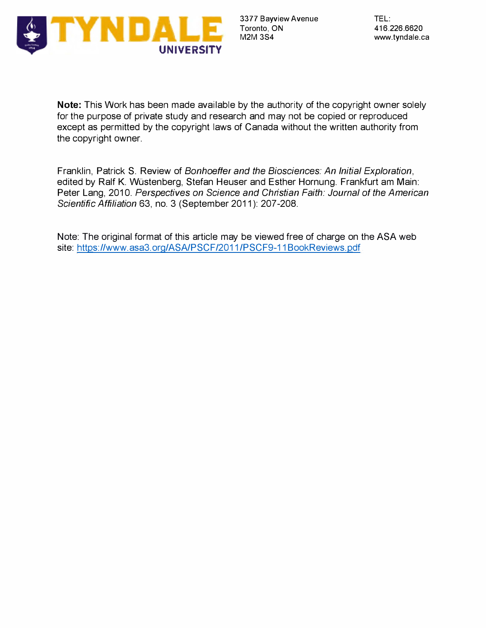

**Note:** This Work has been made available by the authority of the copyright owner solely for the purpose of private study and research and may not be copied or reproduced except as permitted by the copyright laws of Canada without the written authority from the copyright owner.

Franklin, Patrick S. Review of *Bonhoeffer and the Biosciences: An Initial Exploration,*  edited by Ralf K. Wustenberg, Stefan Heuser and Esther Hornung. Frankfurt am Main: Peter Lang, 2010. *Perspectives on Science and Christian Faith: Journal of the American Scientific Affiliation* 63, no. 3 (September 2011 ): 207-208.

Note: The original format of this article may be viewed free of charge on the ASA web site: [https://www.asa3.org/ASA/PSCF/2011/PSCF9-11 BookReviews.pdf](https://www.asa3.org/ASA/PSCF/2011/PSCF9-11BookReviews.pdf)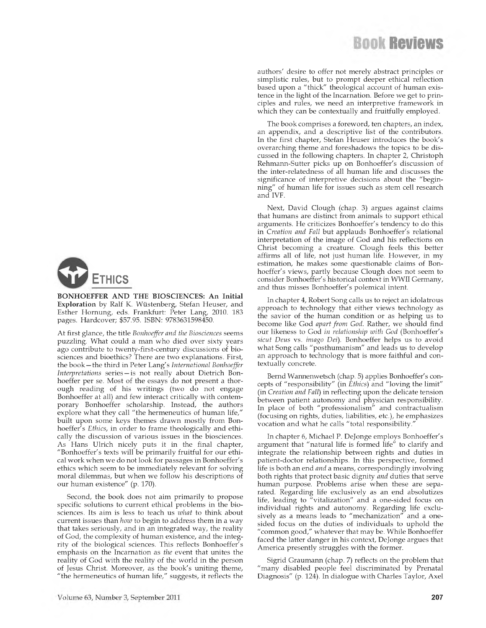authors' desire to offer not merely abstract principles or simplistic rules, but to prompt deeper ethical reflection based upon a "thick" theological account of human existence in the light of the Incarnation. Before we get to principles and rules, we need an interpretive framework in which they can be contextually and fruitfully employed.

The book comprises a foreword, ten chapters, an index, an appendix, and a descriptive list of the contributors. In the first chapter, Stefan Heuser introduces the book's overarching theme and foreshadows the topics to be discussed in the following chapters. In chapter 2, Christoph Rehmann-Sutter picks up on Bonhoeffer's discussion of the inter-relatedness of all human life and discusses the significance of interpretive decisions about the "beginning" of human life for issues such as stem cell research and IVF.

Next, David Clough (chap. 3) argues against claims that humans are distinct from animals to support ethical arguments. He criticizes Bonhoeffer's tendency to do this in *Creation and Fall* but applauds Bonhoeffer's relational interpretation of the image of God and his reflections on Christ becoming a creature. Clough feels this better affirms all of life, not just human life. However, in my estimation, he makes some questionable claims of Bonhoeffer's views, partly because Clough does not seem to consider Bonhoeffer's historical context in WWII Germany, and thus misses Bonhoeffer's polemical intent.

In chapter 4, Robert Song calls us to reject an idolatrous approach to technology that either views technology as the savior of the human condition or as helping us to become like God *apart from God.* Rather, we should find our likeness to God *in relationship with God* (Bonhoeffer's *sicut Deus* vs. *imago Dei).* Bonhoeffer helps us to avoid what Song calls "posthumanism" and leads us to develop an approach to technology that is more faithful and contextually concrete.

Bernd Wannenwetsch (chap. 5) applies Bonhoeffer's concepts of "responsibility" (in *Ethics)* and "loving the limit" (in *Creation and Fall)* in reflecting upon the delicate tension between patient autonomy and physician responsibility. In place of both "professionalism" and contractualism (focusing on rights, duties, liabilities, etc.), he emphasizes vocation and what he calls "total responsibility."

In chapter 6, Michael P. DeJonge employs Bonhoeffer's argument that "natural life is formed life" to clarify and integrate the relationship between rights and duties in patient-doctor relationships. In this perspective, formed life is both an end *and* a means, correspondingly involving both rights that protect basic dignity *and* duties that serve human purpose. Problems arise when these are separated. Regarding life exclusively as an end absolutizes life, leading to "vitalization" and a one-sided focus on individual rights and autonomy. Regarding life exclusively as a means leads to "mechanization" and a onesided focus on the duties of individuals to uphold the "common good," whatever that may be. While Bonhoeffer faced the latter danger in his context, DeJonge argues that America presently struggles with the former.

Sigrid Graumann (chap. *7)* reflects on the problem that "many disabled people feel discriminated by Prenatal Diagnosis" (p. 124). In dialogue with Charles Taylor, Axel



**BONHOEFFER AND THE BIOSCIENCES: An Initial Exploration** by Ralf K. Wüstenberg, Stefan Heuser, and Esther Hornung, eds. Frankfurt: Peter Lang, 2010. 183 pages. Hardcover; \$57.95. ISBN: 9783631598450.

At first glance, the title *Bonhoeffer and the Biosciences* seems puzzling. What could a man who died over sixty years ago contribute to twenty-first-century discussions of biosciences and bioethics? There are two explanations. First, the book—the third in Peter Lang's *International Bonhoeffer Interpretations* series —is not really about Dietrich Bonhoeffer per se. Most of the essays do not present a thorough reading of his writings (two do not engage Bonhoeffer at all) and few interact critically with contemporary Bonhoeffer scholarship. Instead, the authors explore what they call "the hermeneutics of human life," built upon some keys themes drawn mostly from Bonhoeffer's *Ethics,* in order to frame theologically and ethically the discussion of various issues in the biosciences. As Hans Ulrich nicely puts it in the final chapter, "Bonhoeffer's texts will be primarily fruitful for our ethical work when we do not look for passages in Bonhoeffer's ethics which seem to be immediately relevant for solving moral dilemmas, but when we follow his descriptions of our human existence" (p. 170).

Second, the book does not aim primarily to propose specific solutions to current ethical problems in the biosciences. Its aim is less to teach us *what* to think about current issues than *how* to begin to address them in a way that takes seriously, and in an integrated way, the reality of God, the complexity of human existence, and the integrity of the biological sciences. This reflects Bonhoeffer's emphasis on the Incarnation as *the* event that unites the reality of God with the reality of the world in the person of Jesus Christ. Moreover, as the book's uniting theme, "the hermeneutics of human life," suggests, it reflects the